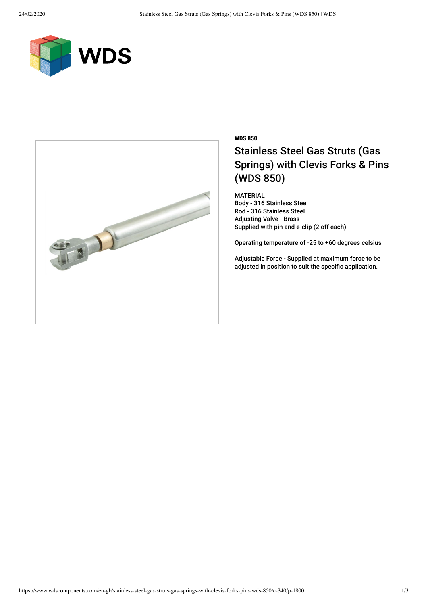



## **WDS 850** Stainless Steel Gas Struts (Gas Springs) with Clevis Forks & Pins (WDS 850)

MATERIAL Body - 316 Stainless Steel Rod - 316 Stainless Steel Adjusting Valve - Brass Supplied with pin and e-clip (2 off each)

Operating temperature of -25 to +60 degrees celsius

Adjustable Force - Supplied at maximum force to be adjusted in position to suit the specific application.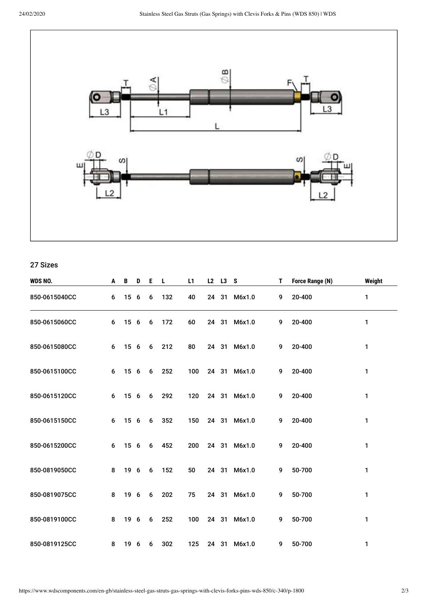

27 Sizes

| WDS NO.       | A | B    | D | Е | L.  | L1  |    | L2 L3 S |              | T | Force Range (N) | Weight |
|---------------|---|------|---|---|-----|-----|----|---------|--------------|---|-----------------|--------|
| 850-0615040CC | 6 | 15 6 |   | 6 | 132 | 40  | 24 | 31      | M6x1.0       | 9 | 20-400          | 1      |
| 850-0615060CC | 6 | 15 6 |   | 6 | 172 | 60  |    |         | 24 31 M6x1.0 | 9 | 20-400          | 1      |
| 850-0615080CC | 6 | 15 6 |   | 6 | 212 | 80  |    |         | 24 31 M6x1.0 | 9 | 20-400          | 1      |
| 850-0615100CC | 6 | 15 6 |   | 6 | 252 | 100 |    |         | 24 31 M6x1.0 | 9 | 20-400          | 1      |
| 850-0615120CC | 6 | 15 6 |   | 6 | 292 | 120 |    |         | 24 31 M6x1.0 | 9 | 20-400          | 1      |
| 850-0615150CC | 6 | 15 6 |   | 6 | 352 | 150 |    |         | 24 31 M6x1.0 | 9 | 20-400          | 1      |
| 850-0615200CC | 6 | 15 6 |   | 6 | 452 | 200 |    |         | 24 31 M6x1.0 | 9 | 20-400          | 1      |
| 850-0819050CC | 8 | 19 6 |   | 6 | 152 | 50  |    |         | 24 31 M6x1.0 | 9 | 50-700          | 1      |
| 850-0819075CC | 8 | 19 6 |   | 6 | 202 | 75  |    |         | 24 31 M6x1.0 | 9 | 50-700          | 1      |
| 850-0819100CC | 8 | 19 6 |   | 6 | 252 | 100 |    |         | 24 31 M6x1.0 | 9 | 50-700          | 1      |
| 850-0819125CC | 8 | 19 6 |   | 6 | 302 | 125 |    |         | 24 31 M6x1.0 | 9 | 50-700          | 1      |